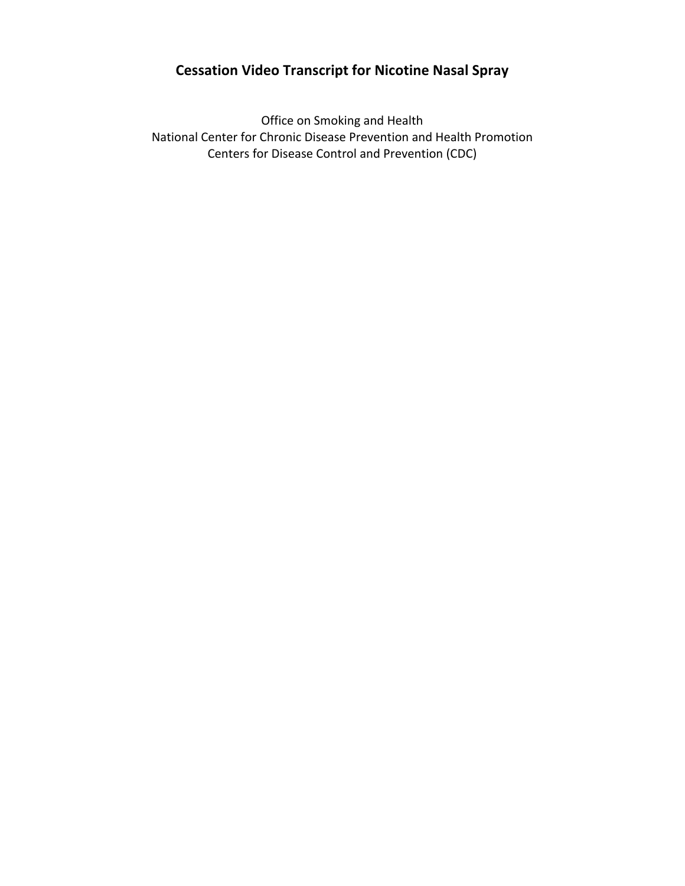## **Cessation Video Transcript for Nicotine Nasal Spray**

Office on Smoking and Health National Center for Chronic Disease Prevention and Health Promotion Centers for Disease Control and Prevention (CDC)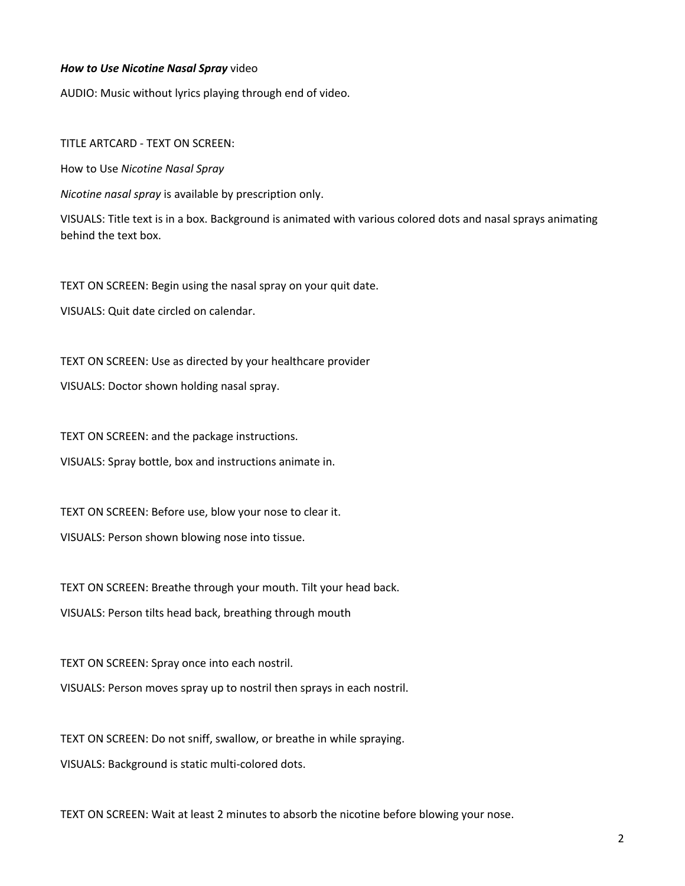## *How to Use Nicotine Nasal Spray* video

AUDIO: Music without lyrics playing through end of video.

TITLE ARTCARD - TEXT ON SCREEN:

How to Use *Nicotine Nasal Spray* 

*Nicotine nasal spray* is available by prescription only.

VISUALS: Title text is in a box. Background is animated with various colored dots and nasal sprays animating behind the text box.

TEXT ON SCREEN: Begin using the nasal spray on your quit date.

VISUALS: Quit date circled on calendar.

TEXT ON SCREEN: Use as directed by your healthcare provider

VISUALS: Doctor shown holding nasal spray.

TEXT ON SCREEN: and the package instructions.

VISUALS: Spray bottle, box and instructions animate in.

TEXT ON SCREEN: Before use, blow your nose to clear it.

VISUALS: Person shown blowing nose into tissue.

TEXT ON SCREEN: Breathe through your mouth. Tilt your head back.

VISUALS: Person tilts head back, breathing through mouth

TEXT ON SCREEN: Spray once into each nostril. VISUALS: Person moves spray up to nostril then sprays in each nostril.

TEXT ON SCREEN: Do not sniff, swallow, or breathe in while spraying. VISUALS: Background is static multi-colored dots.

TEXT ON SCREEN: Wait at least 2 minutes to absorb the nicotine before blowing your nose.